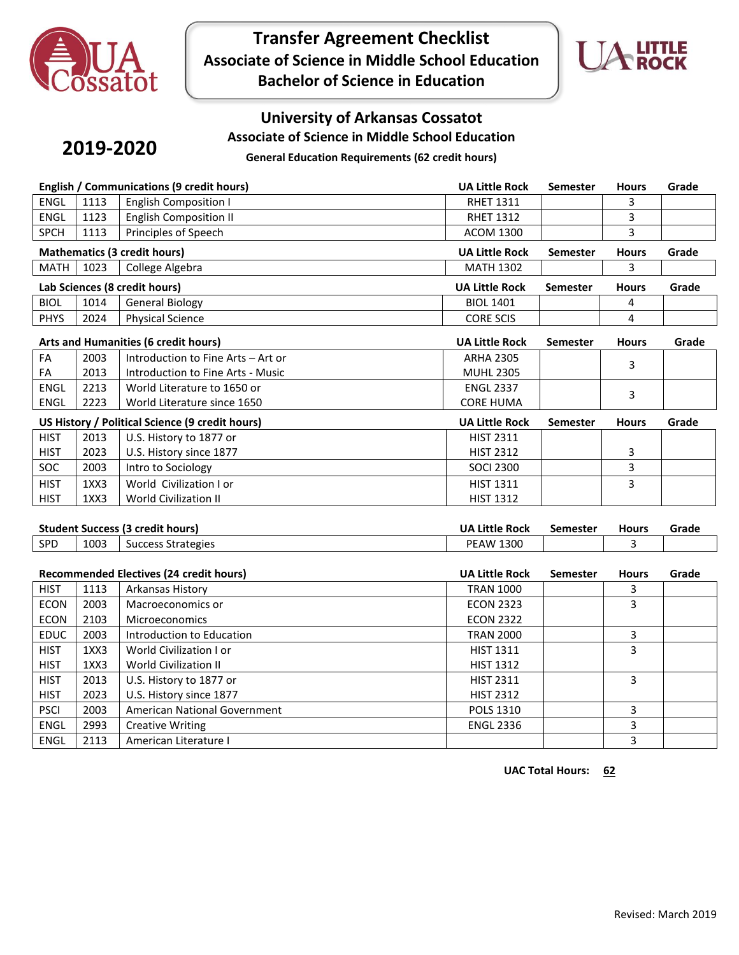

**Transfer Agreement Checklist Associate of Science in Middle School Education Bachelor of Science in Education**



### **University of Arkansas Cossatot**

**Associate of Science in Middle School Education**

## **2019-2020**

**General Education Requirements (62 credit hours)**

| English / Communications (9 credit hours) |      |                                                 | <b>UA Little Rock</b> | Semester        | <b>Hours</b> | Grade |  |  |
|-------------------------------------------|------|-------------------------------------------------|-----------------------|-----------------|--------------|-------|--|--|
| ENGL                                      | 1113 | <b>English Composition I</b>                    | <b>RHET 1311</b>      |                 | 3            |       |  |  |
| ENGL                                      | 1123 | <b>English Composition II</b>                   | <b>RHET 1312</b>      |                 | 3            |       |  |  |
| <b>SPCH</b>                               | 1113 | Principles of Speech                            | <b>ACOM 1300</b>      |                 | 3            |       |  |  |
|                                           |      | <b>Mathematics (3 credit hours)</b>             | <b>UA Little Rock</b> | <b>Semester</b> | <b>Hours</b> | Grade |  |  |
| <b>MATH</b>                               | 1023 | College Algebra                                 | <b>MATH 1302</b>      |                 | 3            |       |  |  |
|                                           |      | Lab Sciences (8 credit hours)                   | <b>UA Little Rock</b> | <b>Semester</b> | <b>Hours</b> | Grade |  |  |
| <b>BIOL</b>                               | 1014 | <b>General Biology</b>                          | <b>BIOL 1401</b>      |                 | 4            |       |  |  |
| <b>PHYS</b>                               | 2024 | <b>Physical Science</b>                         | <b>CORE SCIS</b>      |                 | 4            |       |  |  |
|                                           |      | Arts and Humanities (6 credit hours)            | <b>UA Little Rock</b> | <b>Semester</b> | <b>Hours</b> | Grade |  |  |
| FA                                        | 2003 | Introduction to Fine Arts - Art or              | <b>ARHA 2305</b>      |                 |              |       |  |  |
| FA                                        | 2013 | Introduction to Fine Arts - Music               | <b>MUHL 2305</b>      |                 | 3            |       |  |  |
| <b>ENGL</b>                               | 2213 | World Literature to 1650 or                     | <b>ENGL 2337</b>      |                 |              |       |  |  |
| <b>ENGL</b>                               | 2223 | World Literature since 1650                     | <b>CORE HUMA</b>      |                 | 3            |       |  |  |
|                                           |      | US History / Political Science (9 credit hours) | <b>UA Little Rock</b> | Semester        | <b>Hours</b> | Grade |  |  |
| <b>HIST</b>                               | 2013 | U.S. History to 1877 or                         | <b>HIST 2311</b>      |                 |              |       |  |  |
| <b>HIST</b>                               | 2023 | U.S. History since 1877                         | <b>HIST 2312</b>      |                 | 3            |       |  |  |
| SOC                                       | 2003 | Intro to Sociology                              | <b>SOCI 2300</b>      |                 | 3            |       |  |  |
| <b>HIST</b>                               | 1XX3 | World Civilization I or                         | <b>HIST 1311</b>      |                 | 3            |       |  |  |
| <b>HIST</b>                               | 1XX3 | World Civilization II                           | <b>HIST 1312</b>      |                 |              |       |  |  |
|                                           |      |                                                 |                       |                 |              |       |  |  |
|                                           |      | <b>Student Success (3 credit hours)</b>         | <b>UA Little Rock</b> | <b>Semester</b> | <b>Hours</b> | Grade |  |  |
| SPD                                       | 1003 | <b>Success Strategies</b>                       | <b>PEAW 1300</b>      |                 | 3            |       |  |  |
|                                           |      | Recommended Electives (24 credit hours)         | <b>UA Little Rock</b> | <b>Semester</b> | <b>Hours</b> | Grade |  |  |
| <b>HIST</b>                               | 1113 | Arkansas History                                | <b>TRAN 1000</b>      |                 | 3            |       |  |  |
| <b>ECON</b>                               | 2003 | Macroeconomics or                               | <b>ECON 2323</b>      |                 | 3            |       |  |  |
| <b>ECON</b>                               | 2103 | Microeconomics                                  | <b>ECON 2322</b>      |                 |              |       |  |  |
| EDUC                                      | 2003 | Introduction to Education                       | <b>TRAN 2000</b>      |                 | 3            |       |  |  |
| <b>HIST</b>                               | 1XX3 | World Civilization I or                         | <b>HIST 1311</b>      |                 | 3            |       |  |  |
| <b>HIST</b>                               | 1XX3 | <b>World Civilization II</b>                    | <b>HIST 1312</b>      |                 |              |       |  |  |
| <b>HIST</b>                               | 2013 | U.S. History to 1877 or                         | <b>HIST 2311</b>      |                 | 3            |       |  |  |
| <b>HIST</b>                               | 2023 | U.S. History since 1877                         | <b>HIST 2312</b>      |                 |              |       |  |  |
| <b>PSCI</b>                               | 2003 | American National Government                    | POLS 1310             |                 | 3            |       |  |  |
| <b>ENGL</b>                               | 2993 | <b>Creative Writing</b>                         | <b>ENGL 2336</b>      |                 | 3            |       |  |  |
| <b>ENGL</b>                               | 2113 | American Literature I                           |                       |                 | 3            |       |  |  |

**UAC Total Hours: 62**